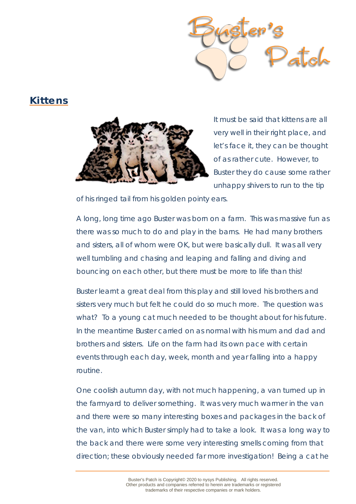

## **Kittens**



It must be said that kittens are all very well in their right place, and let's face it, they can be thought of as rather cute. However, to Buster they do cause some rather unhappy shivers to run to the tip

of his ringed tail from his golden pointy ears.

A long, long time ago Buster was born on a farm. This was massive fun as there was so much to do and play in the barns. He had many brothers and sisters, all of whom were OK, but were basically dull. It was all very well tumbling and chasing and leaping and falling and diving and bouncing on each other, but there must be more to life than this!

Buster learnt a great deal from this play and still loved his brothers and sisters very much but felt he could do so much more. The question was what? To a young cat much needed to be thought about for his future. In the meantime Buster carried on as normal with his mum and dad and brothers and sisters. Life on the farm had its own pace with certain events through each day, week, month and year falling into a happy routine.

One coolish autumn day, with not much happening, a van turned up in the farmyard to deliver something. It was very much warmer in the van and there were so many interesting boxes and packages in the back of the van, into which Buster simply *had* to take a look. It was a long way to the back and there were some very interesting smells coming from that direction; these obviously needed far more investigation! Being a cat he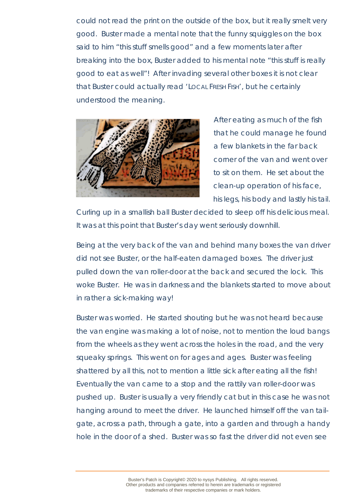could not read the print on the outside of the box, but it really smelt very good. Buster made a mental note that the funny squiggles on the box said to him "this stuff smells good" and a few moments later after breaking into the box, Buster added to his mental note "this stuff is really good to eat as well"! After invading several other boxes it is not clear that Buster could actually read 'LOCAL FRESH FISH', but he certainly understood the meaning.



After eating as much of the fish that he could manage he found a few blankets in the far back corner of the van and went over to sit on them. He set about the clean-up operation of his face, his legs, his body and lastly his tail.

Curling up in a smallish ball Buster decided to sleep off his delicious meal. It was at this point that Buster's day went seriously downhill.

Being at the very back of the van and behind many boxes the van driver did not see Buster, or the half-eaten damaged boxes. The driver just pulled down the van roller-door at the back and secured the lock. This woke Buster. He was in darkness and the blankets started to move about in rather a sick-making way!

Buster was worried. He started shouting but he was not heard because the van engine was making a lot of noise, not to mention the loud bangs from the wheels as they went across the holes in the road, and the very squeaky springs. This went on for ages and ages. Buster was feeling shattered by all this, not to mention a little sick after eating all the fish! Eventually the van came to a stop and the rattily van roller-door was pushed up. Buster is usually a very friendly cat but in this case he was not hanging around to meet the driver. He launched himself off the van tailgate, across a path, through a gate, into a garden and through a handy hole in the door of a shed. Buster was so fast the driver did not even see